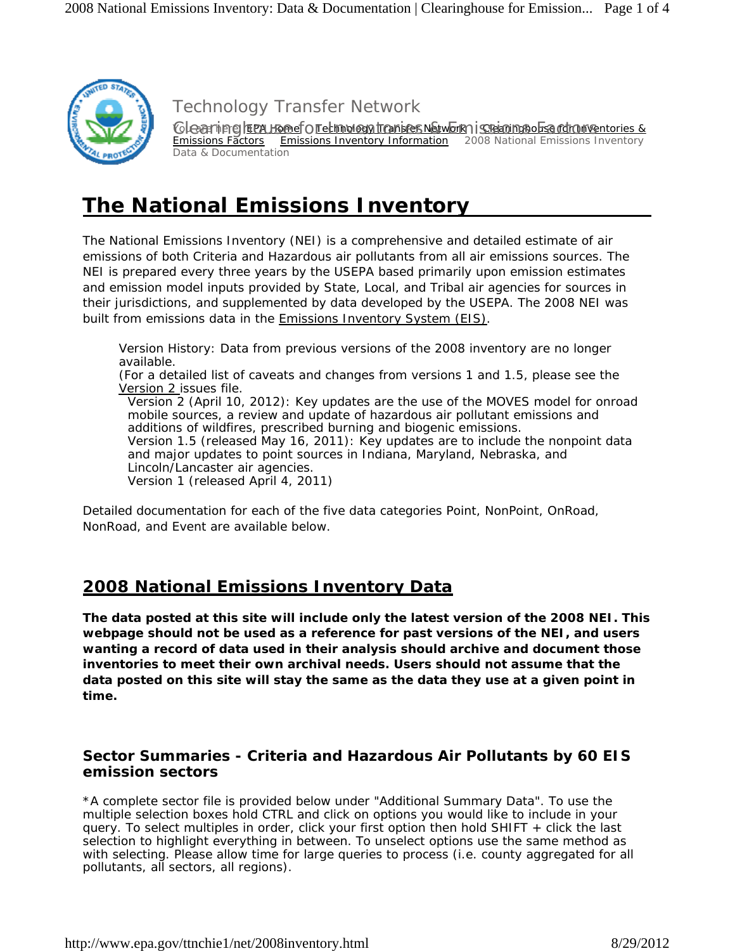

Technology Transfer Network

Clearting Fapa Homef o rectimology transfer Network a i sceartinghouse retrainsentories & Emissions Factors Emissions Inventory Information 2008 National Emissions Inventory Data & Documentation

# **The National Emissions Inventory**

The National Emissions Inventory (NEI) is a comprehensive and detailed estimate of air emissions of both Criteria and Hazardous air pollutants from all air emissions sources. The NEI is prepared every three years by the USEPA based primarily upon emission estimates and emission model inputs provided by State, Local, and Tribal air agencies for sources in their jurisdictions, and supplemented by data developed by the USEPA. The 2008 NEI was built from emissions data in the Emissions Inventory System (EIS).

Version History: Data from previous versions of the 2008 inventory are no longer available. (For a detailed list of caveats and changes from versions 1 and 1.5, please see the Version 2 issues file. Version 2 (April 10, 2012): Key updates are the use of the MOVES model for onroad mobile sources, a review and update of hazardous air pollutant emissions and additions of wildfires, prescribed burning and biogenic emissions. Version 1.5 (released May 16, 2011): Key updates are to include the nonpoint data and major updates to point sources in Indiana, Maryland, Nebraska, and Lincoln/Lancaster air agencies. Version 1 (released April 4, 2011)

Detailed documentation for each of the five data categories Point, NonPoint, OnRoad, NonRoad, and Event are available below.

# **2008 National Emissions Inventory Data**

**The data posted at this site will include only the latest version of the 2008 NEI. This webpage should not be used as a reference for past versions of the NEI, and users wanting a record of data used in their analysis should archive and document those inventories to meet their own archival needs. Users should not assume that the data posted on this site will stay the same as the data they use at a given point in time.**

#### **Sector Summaries - Criteria and Hazardous Air Pollutants by 60 EIS emission sectors**

\*A complete sector file is provided below under "Additional Summary Data". To use the multiple selection boxes hold CTRL and click on options you would like to include in your query. To select multiples in order, click your first option then hold SHIFT + click the last selection to highlight everything in between. To unselect options use the same method as with selecting. Please allow time for large queries to process (i.e. county aggregated for all pollutants, all sectors, all regions).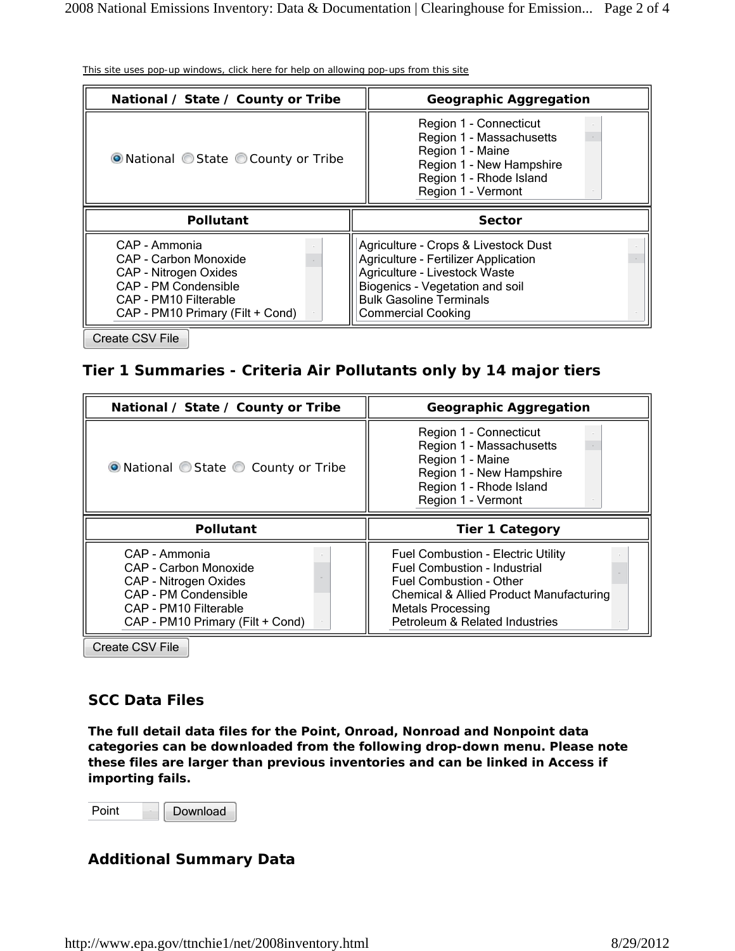| <b>Geographic Aggregation</b>                                                                                                                                                                                          |  |  |  |
|------------------------------------------------------------------------------------------------------------------------------------------------------------------------------------------------------------------------|--|--|--|
| Region 1 - Connecticut<br>Region 1 - Massachusetts<br>Region 1 - Maine<br>Region 1 - New Hampshire<br>Region 1 - Rhode Island<br>Region 1 - Vermont                                                                    |  |  |  |
| <b>Sector</b>                                                                                                                                                                                                          |  |  |  |
| Agriculture - Crops & Livestock Dust<br><b>Agriculture - Fertilizer Application</b><br>Agriculture - Livestock Waste<br>Biogenics - Vegetation and soil<br><b>Bulk Gasoline Terminals</b><br><b>Commercial Cooking</b> |  |  |  |
|                                                                                                                                                                                                                        |  |  |  |

This site uses pop-up windows, click here for help on allowing pop-ups from this site

#### **Tier 1 Summaries - Criteria Air Pollutants only by 14 major tiers**

| National / State / County or Tribe   | <b>Geographic Aggregation</b>                                                                                                                       |  |  |  |
|--------------------------------------|-----------------------------------------------------------------------------------------------------------------------------------------------------|--|--|--|
| • National C State C County or Tribe | Region 1 - Connecticut<br>Region 1 - Massachusetts<br>Region 1 - Maine<br>Region 1 - New Hampshire<br>Region 1 - Rhode Island<br>Region 1 - Vermont |  |  |  |
| <b>Pollutant</b>                     | <b>Tier 1 Category</b>                                                                                                                              |  |  |  |
|                                      |                                                                                                                                                     |  |  |  |

Create CSV File

#### **SCC Data Files**

**The full detail data files for the Point, Onroad, Nonroad and Nonpoint data categories can be downloaded from the following drop-down menu. Please note these files are larger than previous inventories and can be linked in Access if importing fails.** 

Point Download

#### **Additional Summary Data**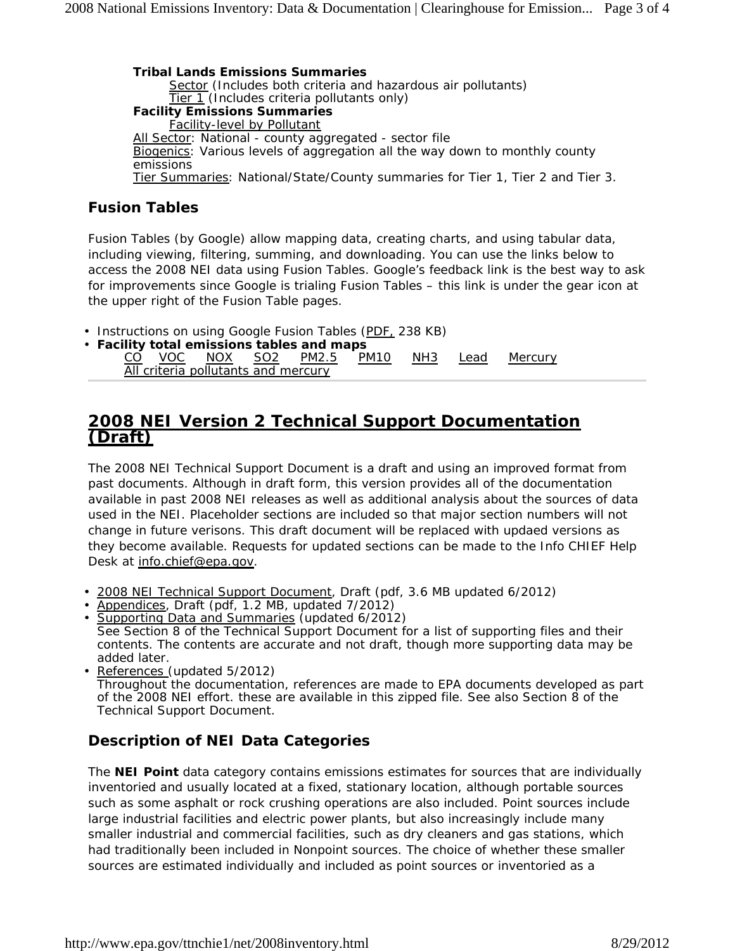**Tribal Lands Emissions Summaries** Sector (Includes both criteria and hazardous air pollutants) Tier 1 (Includes criteria pollutants only) **Facility Emissions Summaries** Facility-level by Pollutant All Sector: National - county aggregated - sector file Biogenics: Various levels of aggregation all the way down to monthly county emissions Tier Summaries: National/State/County summaries for Tier 1, Tier 2 and Tier 3.

### **Fusion Tables**

Fusion Tables (by Google) allow mapping data, creating charts, and using tabular data, including viewing, filtering, summing, and downloading. You can use the links below to access the 2008 NEI data using Fusion Tables. Google's feedback link is the best way to ask for improvements since Google is trialing Fusion Tables – this link is under the gear icon at the upper right of the Fusion Table pages.

• Instructions on using Google Fusion Tables (PDF, 238 KB)

|                                     |  |  |  |  | • Facility total emissions tables and maps |  |  |  |                                            |  |
|-------------------------------------|--|--|--|--|--------------------------------------------|--|--|--|--------------------------------------------|--|
|                                     |  |  |  |  |                                            |  |  |  | CO VOC NOX SO2 PM2.5 PM10 NH3 Lead Mercury |  |
| All criteria pollutants and mercury |  |  |  |  |                                            |  |  |  |                                            |  |

### **2008 NEI Version 2 Technical Support Documentation (Draft)**

The 2008 NEI Technical Support Document is a draft and using an improved format from past documents. Although in draft form, this version provides all of the documentation available in past 2008 NEI releases as well as additional analysis about the sources of data used in the NEI. Placeholder sections are included so that major section numbers will not change in future verisons. This draft document will be replaced with updaed versions as they become available. Requests for updated sections can be made to the Info CHIEF Help Desk at info.chief@epa.gov.

- 2008 NEI Technical Support Document, Draft (pdf, 3.6 MB updated 6/2012)
- Appendices, Draft (pdf, 1.2 MB, updated 7/2012)

• Supporting Data and Summaries (updated 6/2012) See Section 8 of the Technical Support Document for a list of supporting files and their contents. The contents are accurate and not draft, though more supporting data may be added later.

• References (updated 5/2012) Throughout the documentation, references are made to EPA documents developed as part of the 2008 NEI effort. these are available in this zipped file. See also Section 8 of the Technical Support Document.

## **Description of NEI Data Categories**

The **NEI Point** data category contains emissions estimates for sources that are individually inventoried and usually located at a fixed, stationary location, although portable sources such as some asphalt or rock crushing operations are also included. Point sources include large industrial facilities and electric power plants, but also increasingly include many smaller industrial and commercial facilities, such as dry cleaners and gas stations, which had traditionally been included in Nonpoint sources. The choice of whether these smaller sources are estimated individually and included as point sources or inventoried as a